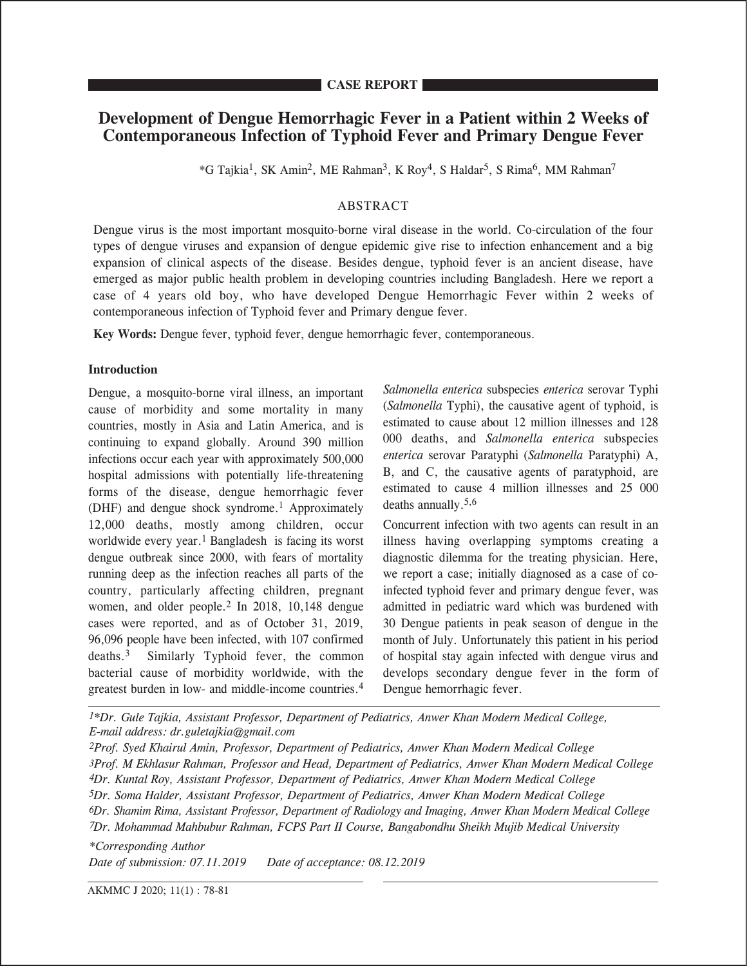# **Development of Dengue Hemorrhagic Fever in a Patient within 2 Weeks of Contemporaneous Infection of Typhoid Fever and Primary Dengue Fever**

\*G Tajkia1, SK Amin2, ME Rahman3, K Roy4, S Haldar5, S Rima6, MM Rahman7

## ABSTRACT

Dengue virus is the most important mosquito-borne viral disease in the world. Co-circulation of the four types of dengue viruses and expansion of dengue epidemic give rise to infection enhancement and a big expansion of clinical aspects of the disease. Besides dengue, typhoid fever is an ancient disease, have emerged as major public health problem in developing countries including Bangladesh. Here we report a case of 4 years old boy, who have developed Dengue Hemorrhagic Fever within 2 weeks of contemporaneous infection of Typhoid fever and Primary dengue fever.

**Key Words:** Dengue fever, typhoid fever, dengue hemorrhagic fever, contemporaneous.

### **Introduction**

**CASE REPORT**

Dengue, a mosquito-borne viral illness, an important cause of morbidity and some mortality in many countries, mostly in Asia and Latin America, and is continuing to expand globally. Around 390 million infections occur each year with approximately 500,000 hospital admissions with potentially life-threatening forms of the disease, dengue hemorrhagic fever (DHF) and dengue shock syndrome.1 Approximately 12,000 deaths, mostly among children, occur worldwide every year.<sup>1</sup> Bangladesh is facing its worst dengue outbreak since 2000, with fears of mortality running deep as the infection reaches all parts of the country, particularly affecting children, pregnant women, and older people.<sup>2</sup> In 2018, 10,148 dengue cases were reported, and as of October 31, 2019, 96,096 people have been infected, with 107 confirmed deaths.3 Similarly Typhoid fever, the common bacterial cause of morbidity worldwide, with the greatest burden in low- and middle-income countries.<sup>4</sup> *Salmonella enterica* subspecies *enterica* serovar Typhi (*Salmonella* Typhi), the causative agent of typhoid, is estimated to cause about 12 million illnesses and 128 000 deaths, and *Salmonella enterica* subspecies *enterica* serovar Paratyphi (*Salmonella* Paratyphi) A, B, and C, the causative agents of paratyphoid, are estimated to cause 4 million illnesses and 25 000 deaths annually.5,6

Concurrent infection with two agents can result in an illness having overlapping symptoms creating a diagnostic dilemma for the treating physician. Here, we report a case; initially diagnosed as a case of coinfected typhoid fever and primary dengue fever, was admitted in pediatric ward which was burdened with 30 Dengue patients in peak season of dengue in the month of July. Unfortunately this patient in his period of hospital stay again infected with dengue virus and develops secondary dengue fever in the form of Dengue hemorrhagic fever.

*1\*Dr. Gule Tajkia, Assistant Professor, Department of Pediatrics, Anwer Khan Modern Medical College, E-mail address: dr.guletajkia@gmail.com*

*2Prof. Syed Khairul Amin, Professor, Department of Pediatrics, Anwer Khan Modern Medical College 3Prof. M Ekhlasur Rahman, Professor and Head, Department of Pediatrics, Anwer Khan Modern Medical College 4Dr. Kuntal Roy, Assistant Professor, Department of Pediatrics, Anwer Khan Modern Medical College 5Dr. Soma Halder, Assistant Professor, Department of Pediatrics, Anwer Khan Modern Medical College 6Dr. Shamim Rima, Assistant Professor, Department of Radiology and Imaging, Anwer Khan Modern Medical College 7Dr. Mohammad Mahbubur Rahman, FCPS Part II Course, Bangabondhu Sheikh Mujib Medical University*

*\*Corresponding Author Date of submission: 07.11.2019 Date of acceptance: 08.12.2019*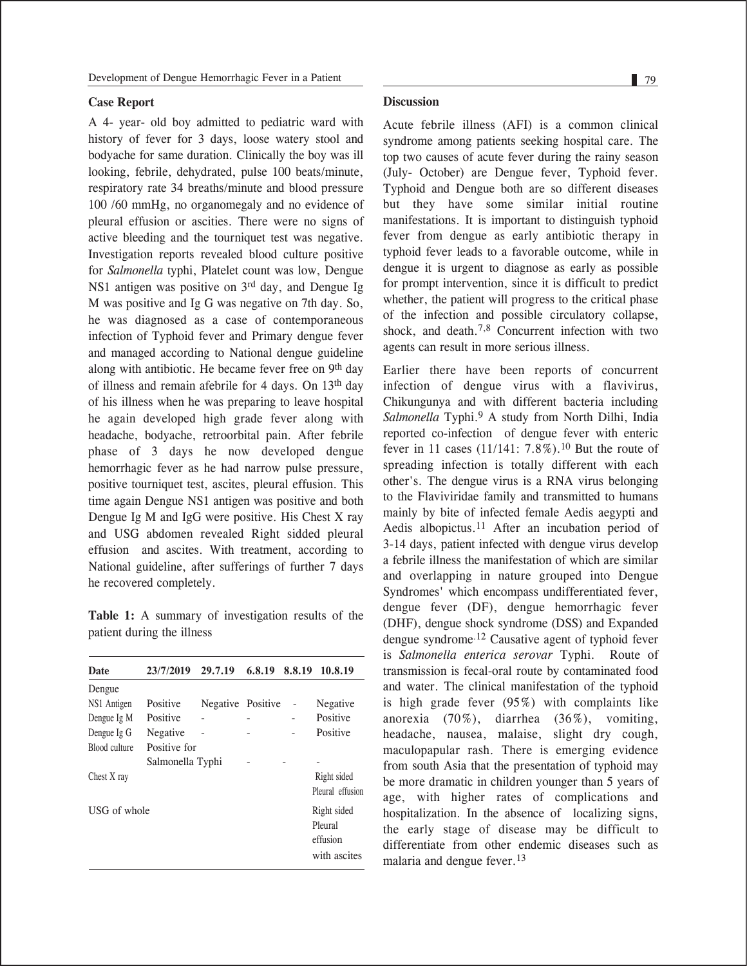#### **Case Report**

A 4- year- old boy admitted to pediatric ward with history of fever for 3 days, loose watery stool and bodyache for same duration. Clinically the boy was ill looking, febrile, dehydrated, pulse 100 beats/minute, respiratory rate 34 breaths/minute and blood pressure 100 /60 mmHg, no organomegaly and no evidence of pleural effusion or ascities. There were no signs of active bleeding and the tourniquet test was negative. Investigation reports revealed blood culture positive for *Salmonella* typhi, Platelet count was low, Dengue NS1 antigen was positive on 3rd day, and Dengue Ig M was positive and Ig G was negative on 7th day. So, he was diagnosed as a case of contemporaneous infection of Typhoid fever and Primary dengue fever and managed according to National dengue guideline along with antibiotic. He became fever free on 9<sup>th</sup> day of illness and remain afebrile for 4 days. On 13th day of his illness when he was preparing to leave hospital he again developed high grade fever along with headache, bodyache, retroorbital pain. After febrile phase of 3 days he now developed dengue hemorrhagic fever as he had narrow pulse pressure, positive tourniquet test, ascites, pleural effusion. This time again Dengue NS1 antigen was positive and both Dengue Ig M and IgG were positive. His Chest X ray and USG abdomen revealed Right sidded pleural effusion and ascites. With treatment, according to National guideline, after sufferings of further 7 days he recovered completely.

**Table 1:** A summary of investigation results of the patient during the illness

| <b>Date</b>   | 23/7/2019        | 29.7.19           | 6,8,19 | 8.8.19 | 10.8.19          |
|---------------|------------------|-------------------|--------|--------|------------------|
| Dengue        |                  |                   |        |        |                  |
| NS1 Antigen   | Positive         | Negative Positive |        |        | Negative         |
| Dengue Ig M   | Positive         |                   |        |        | Positive         |
| Dengue Ig G   | Negative         |                   |        |        | Positive         |
| Blood culture | Positive for     |                   |        |        |                  |
|               | Salmonella Typhi |                   |        |        |                  |
| Chest X ray   |                  |                   |        |        | Right sided      |
|               |                  |                   |        |        | Pleural effusion |
| USG of whole  |                  |                   |        |        | Right sided      |
|               |                  |                   |        |        | Pleural          |
|               |                  |                   |        |        | effusion         |
|               |                  |                   |        |        | with ascites     |

#### **Discussion**

Acute febrile illness (AFI) is a common clinical syndrome among patients seeking hospital care. The top two causes of acute fever during the rainy season (July- October) are Dengue fever, Typhoid fever. Typhoid and Dengue both are so different diseases but they have some similar initial routine manifestations. It is important to distinguish typhoid fever from dengue as early antibiotic therapy in typhoid fever leads to a favorable outcome, while in dengue it is urgent to diagnose as early as possible for prompt intervention, since it is difficult to predict whether, the patient will progress to the critical phase of the infection and possible circulatory collapse, shock, and death.7,8 Concurrent infection with two agents can result in more serious illness.

Earlier there have been reports of concurrent infection of dengue virus with a flavivirus, Chikungunya and with different bacteria including *Salmonella* Typhi.9 A study from North Dilhi, India reported co-infection of dengue fever with enteric fever in 11 cases  $(11/141: 7.8\%)$ .<sup>10</sup> But the route of spreading infection is totally different with each other's. The dengue virus is a RNA virus belonging to the Flaviviridae family and transmitted to humans mainly by bite of infected female Aedis aegypti and Aedis albopictus.11 After an incubation period of 3-14 days, patient infected with dengue virus develop a febrile illness the manifestation of which are similar and overlapping in nature grouped into Dengue Syndromes' which encompass undifferentiated fever, dengue fever (DF), dengue hemorrhagic fever (DHF), dengue shock syndrome (DSS) and Expanded dengue syndrome.12 Causative agent of typhoid fever is *Salmonella enterica serovar* Typhi. Route of transmission is fecal-oral route by contaminated food and water. The clinical manifestation of the typhoid is high grade fever (95%) with complaints like anorexia (70%), diarrhea (36%), vomiting, headache, nausea, malaise, slight dry cough, maculopapular rash. There is emerging evidence from south Asia that the presentation of typhoid may be more dramatic in children younger than 5 years of age, with higher rates of complications and hospitalization. In the absence of localizing signs, the early stage of disease may be difficult to differentiate from other endemic diseases such as malaria and dengue fever.<sup>13</sup>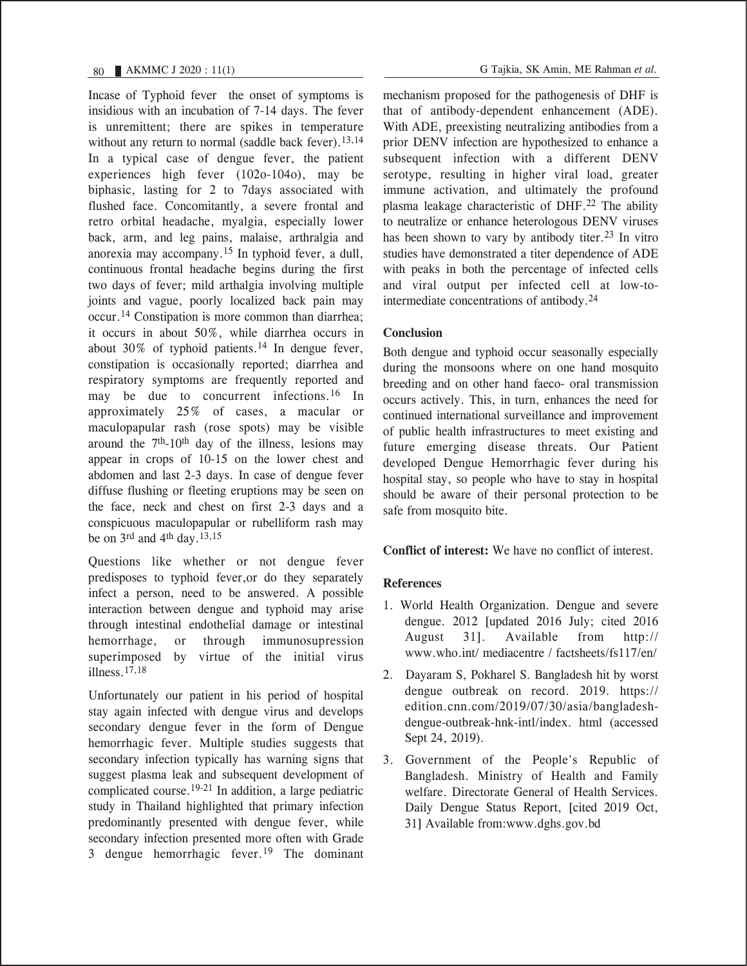Incase of Typhoid fever the onset of symptoms is insidious with an incubation of 7-14 days. The fever is unremittent; there are spikes in temperature without any return to normal (saddle back fever).<sup>13,14</sup> In a typical case of dengue fever, the patient experiences high fever (102o-104o), may be biphasic, lasting for 2 to 7days associated with flushed face. Concomitantly, a severe frontal and retro orbital headache, myalgia, especially lower back, arm, and leg pains, malaise, arthralgia and anorexia may accompany.15 In typhoid fever, a dull, continuous frontal headache begins during the first two days of fever; mild arthalgia involving multiple joints and vague, poorly localized back pain may occur.14 Constipation is more common than diarrhea; it occurs in about 50%, while diarrhea occurs in about 30% of typhoid patients.14 In dengue fever, constipation is occasionally reported; diarrhea and respiratory symptoms are frequently reported and may be due to concurrent infections.16 In approximately 25% of cases, a macular or maculopapular rash (rose spots) may be visible around the  $7<sup>th</sup>$ -10<sup>th</sup> day of the illness, lesions may appear in crops of 10-15 on the lower chest and abdomen and last 2-3 days. In case of dengue fever diffuse flushing or fleeting eruptions may be seen on the face, neck and chest on first 2-3 days and a conspicuous maculopapular or rubelliform rash may be on  $3^{\text{rd}}$  and  $4^{\text{th}}$  day.  $13,15$ 

Questions like whether or not dengue fever predisposes to typhoid fever,or do they separately infect a person, need to be answered. A possible interaction between dengue and typhoid may arise through intestinal endothelial damage or intestinal hemorrhage, or through immunosupression superimposed by virtue of the initial virus illness.17,18

Unfortunately our patient in his period of hospital stay again infected with dengue virus and develops secondary dengue fever in the form of Dengue hemorrhagic fever. Multiple studies suggests that secondary infection typically has warning signs that suggest plasma leak and subsequent development of complicated course.19-21 In addition, a large pediatric study in Thailand highlighted that primary infection predominantly presented with dengue fever, while secondary infection presented more often with Grade 3 dengue hemorrhagic fever.19 The dominant mechanism proposed for the pathogenesis of DHF is that of antibody-dependent enhancement (ADE). With ADE, preexisting neutralizing antibodies from a prior DENV infection are hypothesized to enhance a subsequent infection with a different DENV serotype, resulting in higher viral load, greater immune activation, and ultimately the profound plasma leakage characteristic of DHF.<sup>22</sup> The ability to neutralize or enhance heterologous DENV viruses has been shown to vary by antibody titer.<sup>23</sup> In vitro studies have demonstrated a titer dependence of ADE with peaks in both the percentage of infected cells and viral output per infected cell at low-tointermediate concentrations of antibody.<sup>24</sup>

### **Conclusion**

Both dengue and typhoid occur seasonally especially during the monsoons where on one hand mosquito breeding and on other hand faeco- oral transmission occurs actively. This, in turn, enhances the need for continued international surveillance and improvement of public health infrastructures to meet existing and future emerging disease threats. Our Patient developed Dengue Hemorrhagic fever during his hospital stay, so people who have to stay in hospital should be aware of their personal protection to be safe from mosquito bite.

**Conflict of interest:** We have no conflict of interest.

## **References**

- 1. World Health Organization. Dengue and severe dengue. 2012 [updated 2016 July; cited 2016 August 31]. Available from http:// www.who.int/ mediacentre / factsheets/fs117/en/
- 2. Dayaram S, Pokharel S. Bangladesh hit by worst dengue outbreak on record. 2019. https:// edition.cnn.com/2019/07/30/asia/bangladeshdengue-outbreak-hnk-intl/index. html (accessed Sept 24, 2019).
- 3. Government of the People's Republic of Bangladesh. Ministry of Health and Family welfare. Directorate General of Health Services. Daily Dengue Status Report, [cited 2019 Oct, 31] Available from:www.dghs.gov.bd